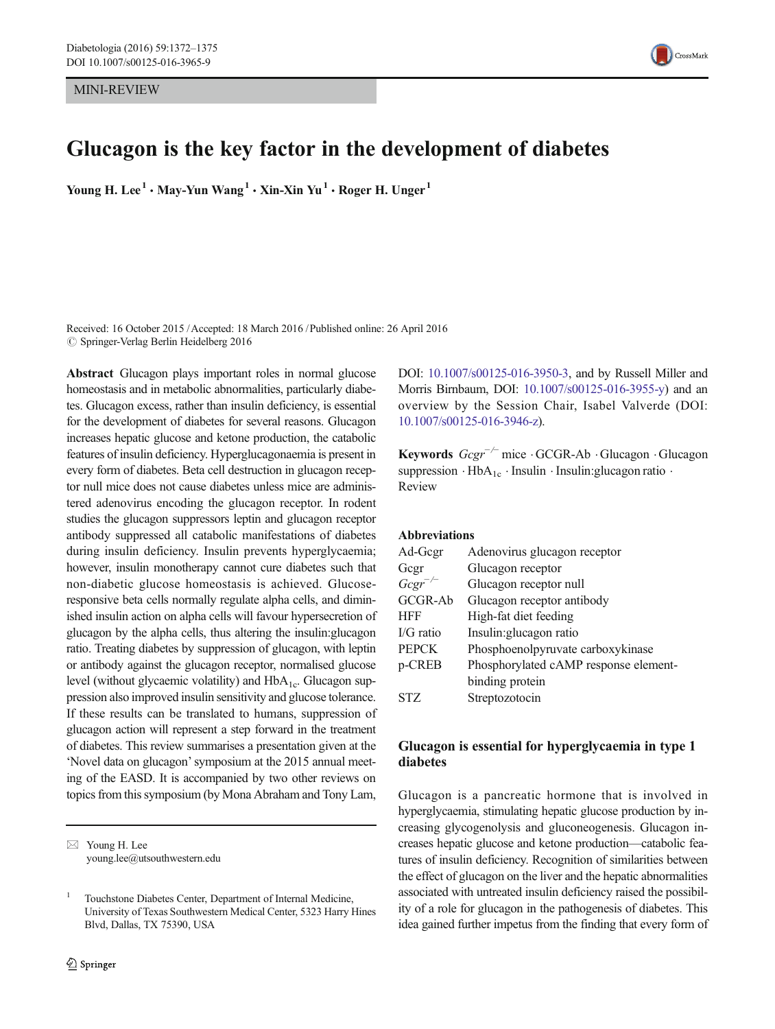MINI-REVIEW



# Glucagon is the key factor in the development of diabetes

Young H. Lee<sup>1</sup> • May-Yun Wang<sup>1</sup> • Xin-Xin Yu<sup>1</sup> • Roger H. Unger<sup>1</sup>

Received: 16 October 2015 /Accepted: 18 March 2016 /Published online: 26 April 2016  $\oslash$  Springer-Verlag Berlin Heidelberg 2016

Abstract Glucagon plays important roles in normal glucose homeostasis and in metabolic abnormalities, particularly diabetes. Glucagon excess, rather than insulin deficiency, is essential for the development of diabetes for several reasons. Glucagon increases hepatic glucose and ketone production, the catabolic features of insulin deficiency. Hyperglucagonaemia is present in every form of diabetes. Beta cell destruction in glucagon receptor null mice does not cause diabetes unless mice are administered adenovirus encoding the glucagon receptor. In rodent studies the glucagon suppressors leptin and glucagon receptor antibody suppressed all catabolic manifestations of diabetes during insulin deficiency. Insulin prevents hyperglycaemia; however, insulin monotherapy cannot cure diabetes such that non-diabetic glucose homeostasis is achieved. Glucoseresponsive beta cells normally regulate alpha cells, and diminished insulin action on alpha cells will favour hypersecretion of glucagon by the alpha cells, thus altering the insulin:glucagon ratio. Treating diabetes by suppression of glucagon, with leptin or antibody against the glucagon receptor, normalised glucose level (without glycaemic volatility) and  $HbA_{1c}$ . Glucagon suppression also improved insulin sensitivity and glucose tolerance. If these results can be translated to humans, suppression of glucagon action will represent a step forward in the treatment of diabetes. This review summarises a presentation given at the 'Novel data on glucagon'symposium at the 2015 annual meeting of the EASD. It is accompanied by two other reviews on topics from this symposium (by Mona Abraham and Tony Lam,

DOI: [10.1007/s00125-016-3950-3,](http://dx.doi.org/10.1007/s00125-016-3950-3) and by Russell Miller and Morris Birnbaum, DOI: [10.1007/s00125-016-3955-y\)](http://dx.doi.org/10.1007/s00125-016-3955-y) and an overview by the Session Chair, Isabel Valverde (DOI: [10.1007/s00125-016-3946-z\)](http://dx.doi.org/10.1007/s00125-016-3946-z).

Keywords  $Gcgr^{-/-}$  mice  $\cdot$  GCGR-Ab  $\cdot$  Glucagon  $\cdot$  Glucagon suppression  $\cdot$  HbA<sub>1c</sub>  $\cdot$  Insulin  $\cdot$  Insulin: glucagon ratio  $\cdot$ Review

Abbreviations

| Ad-Gegr           | Adenovirus glucagon receptor          |
|-------------------|---------------------------------------|
| Gegr              | Glucagon receptor                     |
| $Gcgr^{-\prime-}$ | Glucagon receptor null                |
| GCGR-Ab           | Glucagon receptor antibody            |
| <b>HFF</b>        | High-fat diet feeding                 |
| $\rm I/G$ ratio   | Insulin: glucagon ratio               |
| <b>PEPCK</b>      | Phosphoenolpyruvate carboxykinase     |
| p-CREB            | Phosphorylated cAMP response element- |
|                   | binding protein                       |
| <b>STZ</b>        | Streptozotocin                        |

# Glucagon is essential for hyperglycaemia in type 1 diabetes

Glucagon is a pancreatic hormone that is involved in hyperglycaemia, stimulating hepatic glucose production by increasing glycogenolysis and gluconeogenesis. Glucagon increases hepatic glucose and ketone production—catabolic features of insulin deficiency. Recognition of similarities between the effect of glucagon on the liver and the hepatic abnormalities associated with untreated insulin deficiency raised the possibility of a role for glucagon in the pathogenesis of diabetes. This idea gained further impetus from the finding that every form of

 $\boxtimes$  Young H. Lee young.lee@utsouthwestern.edu

<sup>1</sup> Touchstone Diabetes Center, Department of Internal Medicine, University of Texas Southwestern Medical Center, 5323 Harry Hines Blvd, Dallas, TX 75390, USA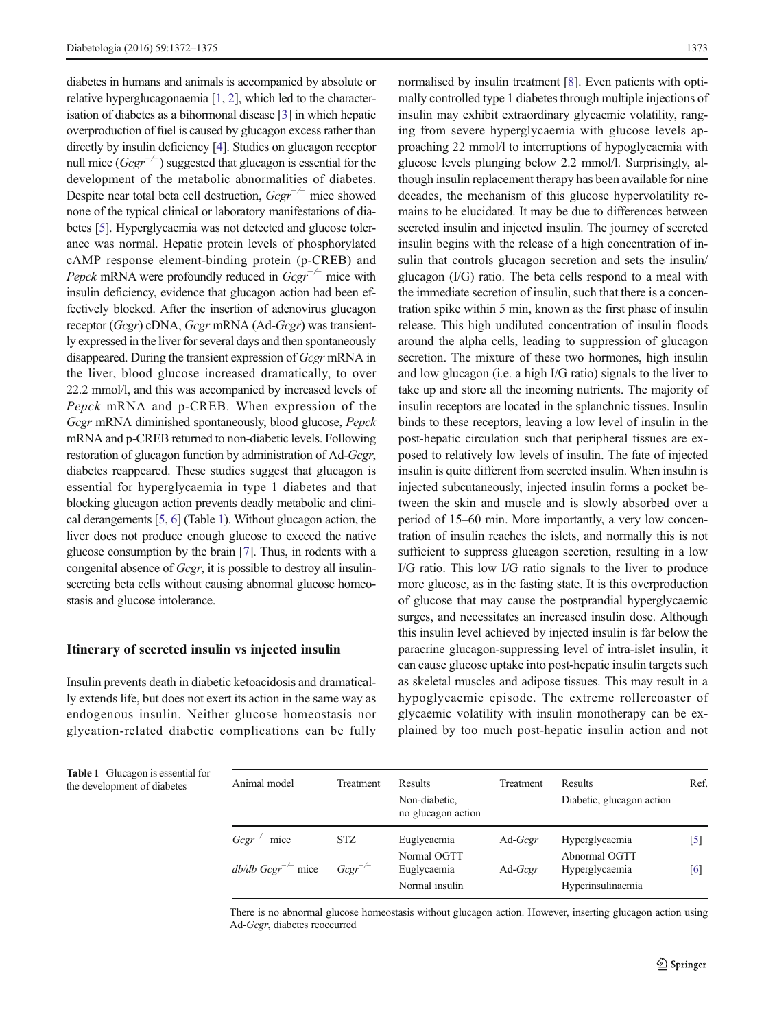<span id="page-1-0"></span>diabetes in humans and animals is accompanied by absolute or relative hyperglucagonaemia [[1,](#page-3-0) [2](#page-3-0)], which led to the characterisation of diabetes as a bihormonal disease [[3](#page-3-0)] in which hepatic overproduction of fuel is caused by glucagon excess rather than directly by insulin deficiency [\[4](#page-3-0)]. Studies on glucagon receptor null mice  $(Gcgr^{-/})$  suggested that glucagon is essential for the development of the metabolic abnormalities of diabetes. Despite near total beta cell destruction,  $Gcgr^{-/-}$  mice showed none of the typical clinical or laboratory manifestations of diabetes [\[5\]](#page-3-0). Hyperglycaemia was not detected and glucose tolerance was normal. Hepatic protein levels of phosphorylated cAMP response element-binding protein (p-CREB) and *Pepck* mRNA were profoundly reduced in  $Gcgr^{-/-}$  mice with insulin deficiency, evidence that glucagon action had been effectively blocked. After the insertion of adenovirus glucagon receptor (Gcgr) cDNA, Gcgr mRNA (Ad-Gcgr) was transiently expressed in the liver for several days and then spontaneously disappeared. During the transient expression of Gcgr mRNA in the liver, blood glucose increased dramatically, to over 22.2 mmol/l, and this was accompanied by increased levels of Pepck mRNA and p-CREB. When expression of the Gcgr mRNA diminished spontaneously, blood glucose, Pepck mRNA and p-CREB returned to non-diabetic levels. Following restoration of glucagon function by administration of Ad-Gcgr, diabetes reappeared. These studies suggest that glucagon is essential for hyperglycaemia in type 1 diabetes and that blocking glucagon action prevents deadly metabolic and clinical derangements [\[5,](#page-3-0) [6](#page-3-0)] (Table 1). Without glucagon action, the liver does not produce enough glucose to exceed the native glucose consumption by the brain [\[7\]](#page-3-0). Thus, in rodents with a congenital absence of Gcgr, it is possible to destroy all insulinsecreting beta cells without causing abnormal glucose homeostasis and glucose intolerance.

## Itinerary of secreted insulin vs injected insulin

Insulin prevents death in diabetic ketoacidosis and dramatically extends life, but does not exert its action in the same way as endogenous insulin. Neither glucose homeostasis nor glycation-related diabetic complications can be fully

normalised by insulin treatment [\[8](#page-3-0)]. Even patients with optimally controlled type 1 diabetes through multiple injections of insulin may exhibit extraordinary glycaemic volatility, ranging from severe hyperglycaemia with glucose levels approaching 22 mmol/l to interruptions of hypoglycaemia with glucose levels plunging below 2.2 mmol/l. Surprisingly, although insulin replacement therapy has been available for nine decades, the mechanism of this glucose hypervolatility remains to be elucidated. It may be due to differences between secreted insulin and injected insulin. The journey of secreted insulin begins with the release of a high concentration of insulin that controls glucagon secretion and sets the insulin/ glucagon (I/G) ratio. The beta cells respond to a meal with the immediate secretion of insulin, such that there is a concentration spike within 5 min, known as the first phase of insulin release. This high undiluted concentration of insulin floods around the alpha cells, leading to suppression of glucagon secretion. The mixture of these two hormones, high insulin and low glucagon (i.e. a high I/G ratio) signals to the liver to take up and store all the incoming nutrients. The majority of insulin receptors are located in the splanchnic tissues. Insulin binds to these receptors, leaving a low level of insulin in the post-hepatic circulation such that peripheral tissues are exposed to relatively low levels of insulin. The fate of injected insulin is quite different from secreted insulin. When insulin is injected subcutaneously, injected insulin forms a pocket between the skin and muscle and is slowly absorbed over a period of 15–60 min. More importantly, a very low concentration of insulin reaches the islets, and normally this is not sufficient to suppress glucagon secretion, resulting in a low I/G ratio. This low I/G ratio signals to the liver to produce more glucose, as in the fasting state. It is this overproduction of glucose that may cause the postprandial hyperglycaemic surges, and necessitates an increased insulin dose. Although this insulin level achieved by injected insulin is far below the paracrine glucagon-suppressing level of intra-islet insulin, it can cause glucose uptake into post-hepatic insulin targets such as skeletal muscles and adipose tissues. This may result in a hypoglycaemic episode. The extreme rollercoaster of glycaemic volatility with insulin monotherapy can be explained by too much post-hepatic insulin action and not

Table 1 Glucagon is essential for the development of diabetes

| Animal model            | Treatment    | <b>Results</b><br>Non-diabetic,<br>no glucagon action | Treatment       | Results<br>Diabetic, glucagon action                 | Ref. |
|-------------------------|--------------|-------------------------------------------------------|-----------------|------------------------------------------------------|------|
| $Gcgr^{-/-}$ mice       | STZ.         | Euglycaemia                                           | Ad- <i>Gcgr</i> | Hyperglycaemia                                       | 15 I |
| $db/db Gcgr^{-/-}$ mice | $Gcgr^{-/-}$ | Normal OGTT<br>Euglycaemia<br>Normal insulin          | $Ad-Gcgr$       | Abnormal OGTT<br>Hyperglycaemia<br>Hyperinsulinaemia | [6]  |

There is no abnormal glucose homeostasis without glucagon action. However, inserting glucagon action using Ad-Gcgr, diabetes reoccurred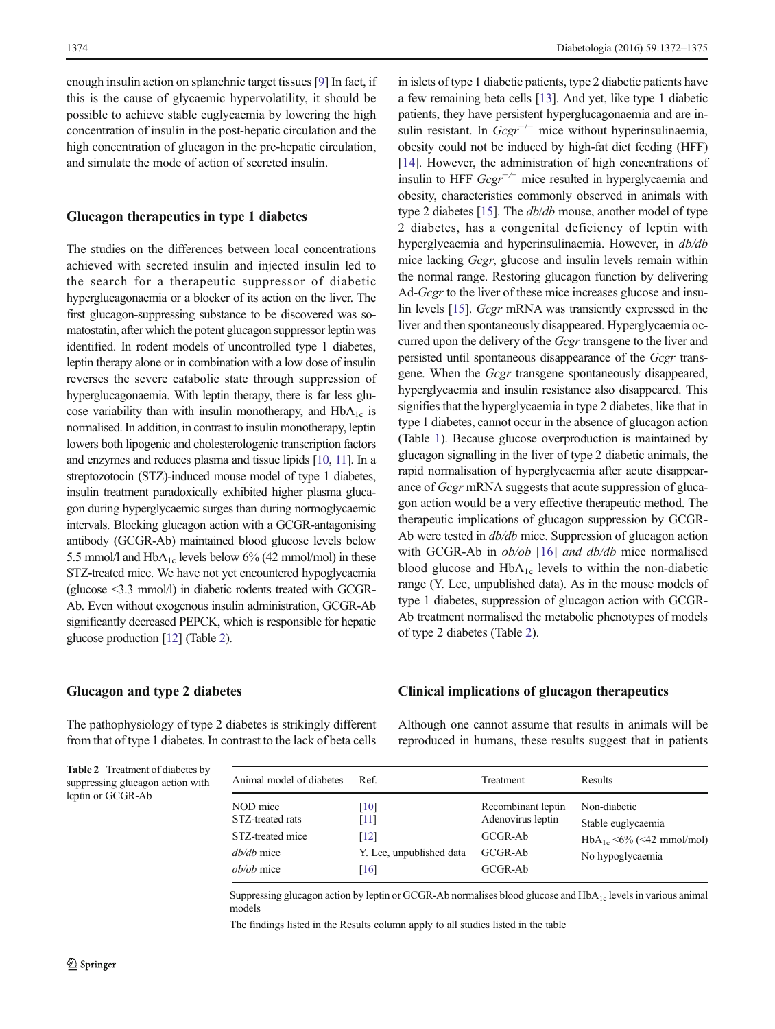enough insulin action on splanchnic target tissues [[9\]](#page-3-0) In fact, if this is the cause of glycaemic hypervolatility, it should be possible to achieve stable euglycaemia by lowering the high concentration of insulin in the post-hepatic circulation and the high concentration of glucagon in the pre-hepatic circulation, and simulate the mode of action of secreted insulin.

### Glucagon therapeutics in type 1 diabetes

The studies on the differences between local concentrations achieved with secreted insulin and injected insulin led to the search for a therapeutic suppressor of diabetic hyperglucagonaemia or a blocker of its action on the liver. The first glucagon-suppressing substance to be discovered was somatostatin, after which the potent glucagon suppressor leptin was identified. In rodent models of uncontrolled type 1 diabetes, leptin therapy alone or in combination with a low dose of insulin reverses the severe catabolic state through suppression of hyperglucagonaemia. With leptin therapy, there is far less glucose variability than with insulin monotherapy, and  $HbA_{1c}$  is normalised. In addition, in contrast to insulin monotherapy, leptin lowers both lipogenic and cholesterologenic transcription factors and enzymes and reduces plasma and tissue lipids [\[10,](#page-3-0) [11\]](#page-3-0). In a streptozotocin (STZ)-induced mouse model of type 1 diabetes, insulin treatment paradoxically exhibited higher plasma glucagon during hyperglycaemic surges than during normoglycaemic intervals. Blocking glucagon action with a GCGR-antagonising antibody (GCGR-Ab) maintained blood glucose levels below 5.5 mmol/l and  $HbA_{1c}$  levels below 6% (42 mmol/mol) in these STZ-treated mice. We have not yet encountered hypoglycaemia (glucose <3.3 mmol/l) in diabetic rodents treated with GCGR-Ab. Even without exogenous insulin administration, GCGR-Ab significantly decreased PEPCK, which is responsible for hepatic glucose production [[12](#page-3-0)] (Table 2).

in islets of type 1 diabetic patients, type 2 diabetic patients have a few remaining beta cells [[13](#page-3-0)]. And yet, like type 1 diabetic patients, they have persistent hyperglucagonaemia and are insulin resistant. In  $Gcgr^{-/-}$  mice without hyperinsulinaemia, obesity could not be induced by high-fat diet feeding (HFF) [\[14](#page-3-0)]. However, the administration of high concentrations of insulin to HFF  $Gcgr^{-/-}$  mice resulted in hyperglycaemia and obesity, characteristics commonly observed in animals with type 2 diabetes [\[15](#page-3-0)]. The db/db mouse, another model of type 2 diabetes, has a congenital deficiency of leptin with hyperglycaemia and hyperinsulinaemia. However, in db/db mice lacking Gcgr, glucose and insulin levels remain within the normal range. Restoring glucagon function by delivering Ad-*Gcgr* to the liver of these mice increases glucose and insulin levels [[15](#page-3-0)]. Gcgr mRNA was transiently expressed in the liver and then spontaneously disappeared. Hyperglycaemia occurred upon the delivery of the Gcgr transgene to the liver and persisted until spontaneous disappearance of the Gcgr transgene. When the Gcgr transgene spontaneously disappeared, hyperglycaemia and insulin resistance also disappeared. This signifies that the hyperglycaemia in type 2 diabetes, like that in type 1 diabetes, cannot occur in the absence of glucagon action (Table [1\)](#page-1-0). Because glucose overproduction is maintained by glucagon signalling in the liver of type 2 diabetic animals, the rapid normalisation of hyperglycaemia after acute disappearance of Gcgr mRNA suggests that acute suppression of glucagon action would be a very effective therapeutic method. The therapeutic implications of glucagon suppression by GCGR-Ab were tested in db/db mice. Suppression of glucagon action with GCGR-Ab in ob/ob [\[16](#page-3-0)] and db/db mice normalised blood glucose and  $HbA_{1c}$  levels to within the non-diabetic range (Y. Lee, unpublished data). As in the mouse models of type 1 diabetes, suppression of glucagon action with GCGR-Ab treatment normalised the metabolic phenotypes of models of type 2 diabetes (Table 2).

#### Glucagon and type 2 diabetes

The pathophysiology of type 2 diabetes is strikingly different from that of type 1 diabetes. In contrast to the lack of beta cells Although one cannot assume that results in animals will be reproduced in humans, these results suggest that in patients

Clinical implications of glucagon therapeutics

| <b>Table 2</b> Treatment of diabetes by |
|-----------------------------------------|
| suppressing glucagon action with        |
| leptin or GCGR-Ab                       |

| Animal model of diabetes                                                            | Ref.                                                     | Treatment                                                                | Results                                                                                   |
|-------------------------------------------------------------------------------------|----------------------------------------------------------|--------------------------------------------------------------------------|-------------------------------------------------------------------------------------------|
| NOD mice<br>STZ-treated rats<br>STZ-treated mice<br>dh/dh mice<br><i>ob/ob</i> mice | [10]<br>[11]<br>[12]<br>Y. Lee, unpublished data<br>[16] | Recombinant leptin<br>Adenovirus leptin<br>GCGR-Ab<br>GCGR-Ab<br>GCGR-Ab | Non-diabetic<br>Stable euglycaemia<br>$HbA_{1c} < 6\%$ (<42 mmol/mol)<br>No hypoglycaemia |

Suppressing glucagon action by leptin or GCGR-Ab normalises blood glucose and  $HbA<sub>1c</sub>$  levels in various animal models

The findings listed in the Results column apply to all studies listed in the table